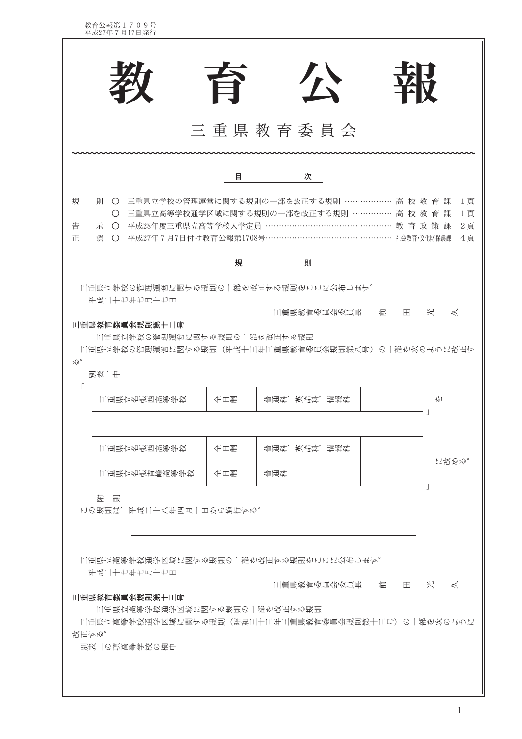| 致<br>公<br>育                                                                                                                                                                                                         |
|---------------------------------------------------------------------------------------------------------------------------------------------------------------------------------------------------------------------|
| 三重県教育委員会                                                                                                                                                                                                            |
| 次<br>目<br>三重県立学校の管理運営に関する規則の一部を改正する規則 ……………… 高 校 教 育 課<br>規<br>馴<br>1頁<br>$\bigcirc$<br>三重県立高等学校通学区域に関する規則の一部を改正する規則 …………… 高 校 教 育 課<br>1頁<br>$\bigcirc$<br>○ 平成28年度三重県立高等学校入学定員 …………<br>告<br>………………… 教育政策課<br>2頁   |
| 示<br>正<br>誤<br>平成27年7月7日付け教育公報第1708号…………<br>社会教育·文化財保護課<br>4頁<br>$\bigcirc$<br>規<br>則                                                                                                                               |
| 三重県立学校の管理運営に関する規則の一部を改正する規則をここに公布します。<br>平成二十七年七月十七日<br>三重県教育委員会委員長<br>光<br>混<br>$\lt$<br>田<br>三重県教育委員会規則第十二号<br>三重県立学校の管理運営に関する規則の一部を改正する規則<br> 三重県立学校の管理運営に関する規則(平成十三年三重県教育委員会規則第八号)の一部を次のように改正す<br>$M_0$<br>别表一中 |
| 三重県立名張西高等学校<br>全日間<br>竹<br>– 神通盛り<br>欺體练。<br>- 工芸学                                                                                                                                                                  |
| 三重県立名張西高等学校<br>全日間<br>普通科、英語科、情報科<br><b>に投るぬ。</b><br>三重県立名張青峰高等学校<br>全日間<br>普通科                                                                                                                                     |
| 老 骂<br>この規則は、平成二十八年四月一日から施行する。                                                                                                                                                                                      |
| 三重県立高等学校通学区域に関する規則の一部を改正する規則をここに公布します。<br>平成二十七年七月十七日<br>$*$<br>三重県教育委員会委員長<br>混<br>田<br>$\lt$                                                                                                                      |
| 三重県教育委員会規則第十三号<br>三重県立高等学校通学区域に関する規則の一部を改正する規則<br> 三重県立高等学校通学区域に関する規則(昭和三十三年三重県教育委員会規則第十三号)の一部を次のように<br>改正する。<br>別表二の項高等学校の欄中                                                                                       |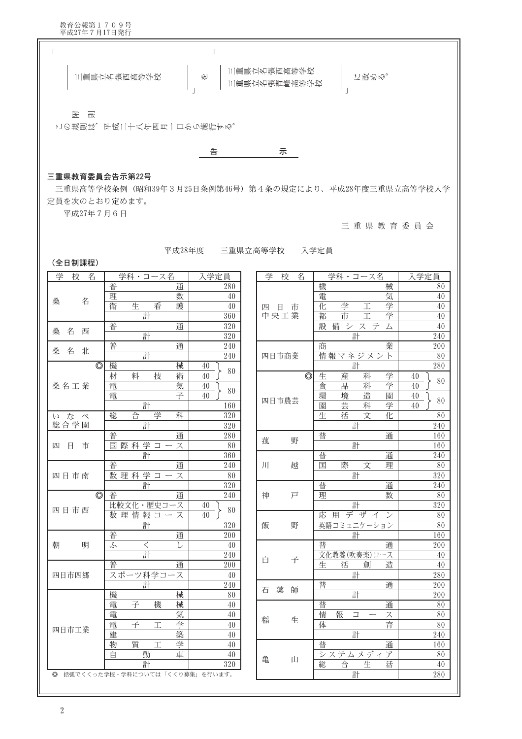医 园

この規則は、平成二十八年四月一日から施行する。



## 三重県教育委員会告示第22号

三重県高等学校条例 (昭和39年3月25日条例第46号) 第4条の規定により、平成28年度三重県立高等学校入学 定員を次のとおり定めます。

平成27年7月6日

三重県教育委員会

平成28年度 三重県立高等学校 入学定員

(全日制課程)

| 学<br>校<br>名        | 学科・コース名                        |             | 入学定員            |
|--------------------|--------------------------------|-------------|-----------------|
|                    | 普                              | 通           | 280             |
|                    | 理                              | 数           | 40              |
| 名<br>桑             | 生<br>衛                         | 看<br>護      | 40              |
|                    | 計                              |             | 360             |
|                    | 普                              | 通           | 320             |
| 名<br>桑<br>西        | 計                              |             | 320             |
| 北                  | 普                              | 通           | 240             |
| 桑<br>名             | 計                              |             | 240             |
| $\overline{\circ}$ | 機                              | 械           | 40<br>80        |
|                    | 材<br>料                         | 技<br>術      | 40              |
| 桑名工業               | 電                              | 気           | 40<br>80        |
|                    | 電                              | 子           | 40              |
|                    | 計                              |             | 160             |
| な<br>べ<br>W        | 合<br>総                         | 学<br>科      | 320             |
| 総合学園               | 計                              |             | 320             |
|                    | 普                              | 通           | 280             |
| 四<br>市<br>日        | 際科学コー<br>国                     | ス           | 80              |
|                    | 計                              |             | 360             |
|                    | 普                              | 通           | 240             |
| 四日市南               | 数理科学                           | $\Box$<br>ス | 80              |
|                    | 計                              |             | 320             |
| $\circledcirc$     | 普                              | 通           | 240             |
| 四日市西               | 比較文化・歴史コー                      | ース          | 40<br>80        |
|                    | 数理情報コ                          | ス           | 40              |
|                    | 計                              |             | 320             |
|                    | 普                              | 通           | <sup>2</sup> 00 |
| 朝<br>明             | $\,<\,$<br>ふ                   | L           | 40              |
|                    | 計                              |             | 240             |
|                    | 普                              | 通           | 200             |
| 四日市四郷              | スポーツ科学コー                       | -ス          | 40              |
|                    | 計                              |             | 240             |
|                    | 機                              | 械           | 80              |
|                    | 子<br>電                         | 機<br>械      | 40              |
|                    | 電                              | 気           | 40              |
| 四日市工業              | 電<br>子                         | 学<br>I      | 40              |
|                    | 建                              | 築           | 40              |
|                    | 質<br>物                         | 学<br>工      | 40              |
|                    | 自<br>動                         | 車           | 40              |
|                    | 計                              |             | 320             |
| $\circledcirc$     | 括弧でくくった学校・学科については「くくり募集」を行います。 |             |                 |

| 子<br>仪<br>名    | 字科・コース名                | 人字疋貝     |
|----------------|------------------------|----------|
|                | 機<br>械                 | 80       |
|                | 気<br>電                 | 40       |
| 四日市            | 学<br>学<br>化<br>工       | 40       |
| 中央工業           | 学<br>市<br>都<br>工       | 40       |
|                | 設<br>備システ<br>厶         | 40       |
|                | 計                      | 240      |
|                | 業<br>商                 | 200      |
| 四日市商業          | 情報マネジメ<br>ント           | 80       |
|                | 計                      | 280      |
| $\circledcirc$ | 生<br>産<br>学<br>科       | 40       |
|                | 学<br>食<br>品<br>科       | 80<br>40 |
|                | 造<br>環<br>境<br>園       | 40       |
| 四日市農芸          | 芸<br>学<br>科<br>園       | 80<br>40 |
|                | 文<br>生<br>化<br>活       | 80       |
|                | 計                      | 240      |
|                | 普<br>通                 | 160      |
| 菰<br>野         | 計                      | 160      |
|                | 普<br>通                 | 240      |
| J<br>越         | 文<br>際<br>国<br>理       | 80       |
|                | 計                      | 320      |
|                | 普<br>通                 | 240      |
| 神<br>戸         | 理<br>数                 | 80       |
|                | 計                      | 320      |
|                | 応用デザイ<br>$\mathcal{V}$ | 80       |
| 飯<br>野         | 英語コミュニケーション            | 80       |
|                | 計                      | 160      |
|                | 普<br>通                 | 200      |
| 子              | 文化教養(吹奏楽)コース           | 40       |
| 白              | 造<br>生<br>創<br>活       | 40       |
|                | 計                      | 280      |
| 石              | 普<br>通                 | 200      |
| 薬<br>師         | 計                      | 200      |
|                | 普<br>通                 | 80       |
|                | 情<br>報<br>$\Box$<br>ス  | 80       |
| 生<br>稲         | 育<br>体                 | 80       |
|                | 計                      | 240      |
|                | 普<br>通                 | 160      |
|                | <u>システムメディア</u>        | 80       |
| Щ<br>亀         | 合<br>生<br>総<br>活       | 40       |
|                | 計                      | 280      |
|                |                        |          |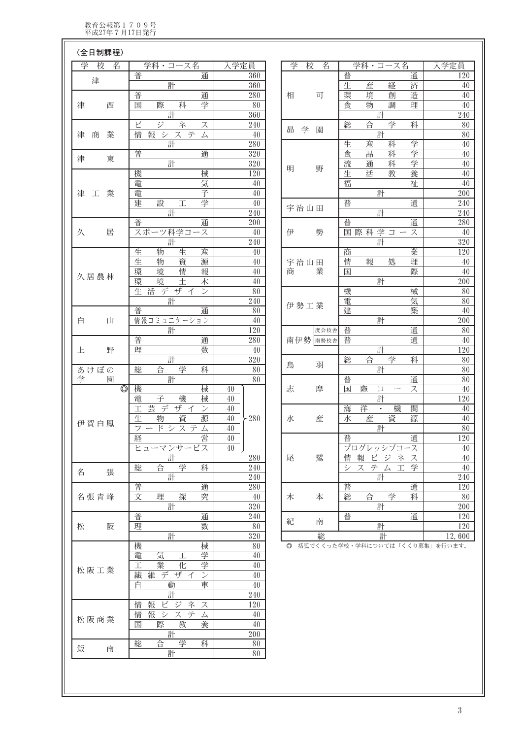$\sqrt{2}$ 

| (全日制課程)                 |                                    |                                       |             |                                                                                |                  |
|-------------------------|------------------------------------|---------------------------------------|-------------|--------------------------------------------------------------------------------|------------------|
| 学<br>校<br>名             | 学科・コース名                            | 入学定員                                  | 学<br>校<br>名 | 学科・コース名                                                                        | 入学定員             |
| 津                       | 普<br>通                             | 360                                   |             | 普<br>通                                                                         | 120              |
|                         | 計                                  | 360                                   |             | 生<br>済<br>産<br>経                                                               | $40\,$           |
|                         | 普<br>通                             | 280                                   | 相<br>可      | 環<br>造<br>境<br>創                                                               | 40               |
| 津<br>西                  | 学<br>際<br>科<br>国                   | 80                                    |             | 調<br>食<br>物<br>理                                                               | $40\,$           |
|                         | 計                                  | 360                                   |             | 計                                                                              | 240              |
|                         | ビ<br>ジ<br>ネ<br>ス                   | 240                                   |             | 合<br>学<br>総<br>科                                                               | 80               |
| 業<br>津<br>商             | 情<br>報<br>システ<br>厶                 | $40\,$                                | 昴 学<br>園    | 計                                                                              | $80\,$           |
|                         | 計                                  | 280                                   |             | 学<br>生<br>産<br>科                                                               | 40               |
|                         | 普<br>通                             | 320                                   |             | 学<br>品<br>食<br>科                                                               | 40               |
| 津<br>東                  | 計                                  | $\overline{320}$                      |             | 学<br>流<br>科<br>通                                                               | $40\,$           |
|                         | 機<br>械                             | 120                                   | 明<br>野      | 養<br>生<br>活<br>教                                                               | $40\,$           |
|                         | 電<br>気                             | $40\,$                                |             | 祉<br>福                                                                         | $40\,$           |
| 業<br>津<br>工             | 子<br>電                             | $40\,$                                |             | 計                                                                              | 200              |
|                         | 設<br>建<br>学<br>工                   | $40\,$                                |             | 普<br>通                                                                         | 240              |
|                         | 計                                  | 240                                   | 宇治山田        | 計                                                                              | $240\,$          |
|                         | 普<br>通                             | 200                                   |             | 普<br>通                                                                         | 280              |
| 居<br>久                  | スポーツ科学コース                          | $40\,$                                | 伊<br>勢      | 国際科学コー<br>ス                                                                    | $40\,$           |
|                         | 計                                  | 240                                   |             | 計                                                                              | $\overline{320}$ |
|                         | 生<br>物<br>生<br>産                   | 40                                    |             | 業<br>商                                                                         | 120              |
|                         | 生<br>資<br>物<br>源                   | $40\,$                                | 宇治山田        | 情<br>報<br>処<br>理                                                               | $40\,$           |
|                         | 環<br>境<br>情<br>報                   | 40                                    | 業<br>商      | 際<br>国                                                                         | $40\,$           |
| 久居農林                    | 環<br>境<br>士<br>木                   | $40\,$                                |             | 計                                                                              | 200              |
|                         | 生活デザイ<br>$\overline{\mathcal{V}}$  | $80\,$                                |             | 機<br>械                                                                         | $80\,$           |
|                         | 計                                  | $240\,$                               |             | 電<br>気                                                                         | 80               |
|                         | 普<br>通                             | 80                                    | 伊勢工業        | 建<br>築                                                                         | $40\,$           |
| 白<br>Щ                  | 情報コミュニケーション                        | $40\,$                                |             | 計                                                                              | 200              |
|                         | 計                                  | 120                                   | 度会校舎        | 普<br>通                                                                         | $80\,$           |
|                         | 普<br>通                             | 280                                   | 南伊勢 南勢校舎    | 普<br>通                                                                         | 40               |
| 野<br>上                  | 数<br>理                             | 40                                    |             | 計                                                                              | 120              |
|                         | 計                                  | 320                                   |             | 総<br>合<br>学<br>科                                                               | $80\,$           |
| あけぼの                    | 学<br>総<br>合<br>科                   | 80                                    | 鳥<br>羽      | 計                                                                              | 80               |
| 園                       | 計                                  | 80                                    |             | 普<br>通                                                                         | 80               |
| 学<br>$\overline{\circ}$ | 機<br>械                             | $40\,$                                | 摩<br>志      | 際<br>国<br>$\boldsymbol{\mathcal{Z}}$<br>$\Box$<br>$\overbrace{\qquad \qquad }$ | 40               |
|                         | 子<br>機<br>械<br>電                   | $40\,$                                |             | 計                                                                              | 120              |
|                         | 工芸<br>デ<br>ザイ<br>$\mathcal{V}$     | 40                                    |             | 機<br>洋<br>関<br>海<br>$\bullet$                                                  | $40\,$           |
|                         | 資<br>源<br>生<br>物                   | 40<br>280                             | 産           | 資<br>源<br>水<br>産                                                               | $40\,$           |
| 伊賀白鳳                    | $\overline{z}$<br>ドシステ             | 40                                    | 水           | 計                                                                              | 80               |
|                         | 厶<br>$\overline{\phantom{0}}$<br>営 |                                       |             |                                                                                |                  |
|                         | 経                                  | 40                                    |             | 普<br>通                                                                         | 120              |
|                         | ヒューマンサービス                          | 40                                    |             | プログレッシブコース                                                                     | 40               |
|                         | 計                                  | 280                                   | 鷲<br>尾      | 情 報<br>ビジネ<br>ス                                                                | 40               |
| 張<br>名                  | 合<br>学<br>総<br>科                   | 240                                   |             | システム工学                                                                         | 40               |
|                         | 計                                  | 240                                   |             | 計                                                                              | 240              |
|                         | 普<br>通                             | 280                                   |             | 普<br>通                                                                         | 120              |
| 名張青峰                    | 文<br>探<br>究<br>理                   | 40                                    | 本<br>木      | 総<br>合<br>学<br>科                                                               | 80               |
|                         | 計                                  | $320\,$                               |             | 計                                                                              | 200              |
|                         | 普<br>通                             | $240\,$                               | 紀<br>南      | 普<br>通                                                                         | 120              |
| 松<br>阪                  | 理<br>数                             | 80                                    |             | 計                                                                              | 120              |
|                         | 計                                  | $320\,$                               | 総           | 計                                                                              | 12,600           |
|                         | 機<br>械                             | 80                                    |             | ◎ 括弧でくくった学校・学科については「くくり募集」を行います。                                               |                  |
|                         | 学<br>電<br>気<br>丄                   | 40                                    |             |                                                                                |                  |
| 松阪工業                    | 業<br>学<br>工<br>化                   | 40                                    |             |                                                                                |                  |
|                         | 繊<br>維デザイ<br>$\mathcal{V}$         | $40\,$                                |             |                                                                                |                  |
|                         | 自<br>動<br>車                        | $40\,$                                |             |                                                                                |                  |
|                         | 訐                                  | 240                                   |             |                                                                                |                  |
|                         | 情<br>報<br>ビジネ<br>ス                 | 120                                   |             |                                                                                |                  |
| 松阪商業                    | 情<br>報システム                         | 40                                    |             |                                                                                |                  |
|                         | 教<br>際<br>養<br>国                   | 40                                    |             |                                                                                |                  |
|                         | 計                                  | 200                                   |             |                                                                                |                  |
| 飯<br>南                  | 総<br>合<br>学<br>科                   | $80\,$                                |             |                                                                                |                  |
|                         | $\Rightarrow$ L                    | $\overline{\circ}$ $\overline{\circ}$ |             |                                                                                |                  |

 $80$ 

計

 $\overline{3}$